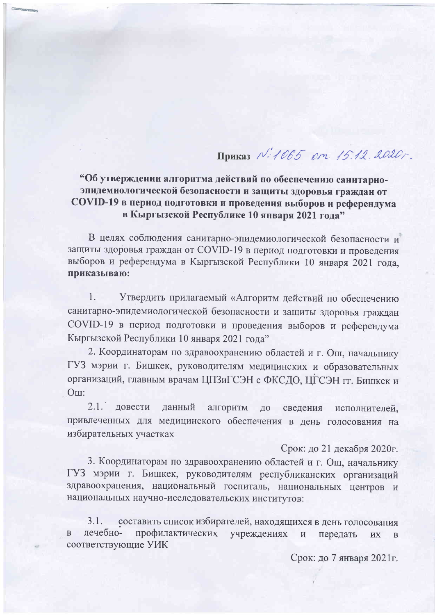# Приказ N: 1065 от 15.12.2020г.

# "Об утверждении алгоритма действий по обеспечению санитарноэпидемиологической безопасности и защиты здоровья граждан от COVID-19 в период подготовки и проведения выборов и референдума в Кыргызской Республике 10 января 2021 года"

В целях соблюдения санитарно-эпидемиологической безопасности и защиты здоровья граждан от COVID-19 в период подготовки и проведения выборов и референдума в Кыргызской Республики 10 января 2021 года, приказываю:

 $\mathbf{1}$ . Утвердить прилагаемый «Алгоритм действий по обеспечению санитарно-эпидемиологической безопасности и защиты здоровья граждан COVID-19 в период подготовки и проведения выборов и референдума Кыргызской Республики 10 января 2021 года"

2. Координаторам по здравоохранению областей и г. Ош, начальнику ГУЗ мэрии г. Бишкек, руководителям медицинских и образовательных организаций, главным врачам ЦПЗиГСЭН с ФКСДО, ЦГСЭН гг. Бишкек и Om:

 $2.1.$ довести данный алгоритм ДО сведения исполнителей, привлеченных для медицинского обеспечения в день голосования на избирательных участках

### Срок: до 21 декабря 2020г.

3. Координаторам по здравоохранению областей и г. Ош, начальнику ГУЗ мэрии г. Бишкек, руководителям республиканских организаций здравоохранения, национальный госпиталь, национальных центров и национальных научно-исследовательских институтов:

составить список избирателей, находящихся в день голосования 3.1. лечебнопрофилактических  $\overline{B}$ учреждениях передать **HX**  $\mathbf{B}$ соответствующие УИК

Срок: до 7 января 2021г.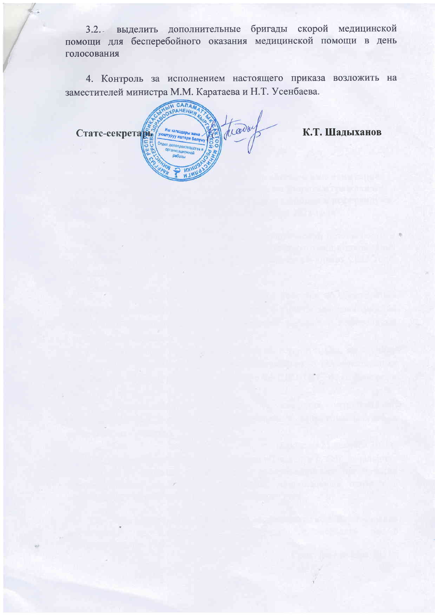3.2. выделить дополнительные бригады скорой медицинской помощи для бесперебойного оказания медицинской помощи в день голосования

4. Контроль за исполнением настоящего приказа возложить на заместителей министра М.М. Каратаева и Н.Т. Усенбаева.

**BIH CARAM** CTaTC-CEKPETA trader итуруу иштери ба

 $\frac{1}{2}$ 

К.Т. Шадыханов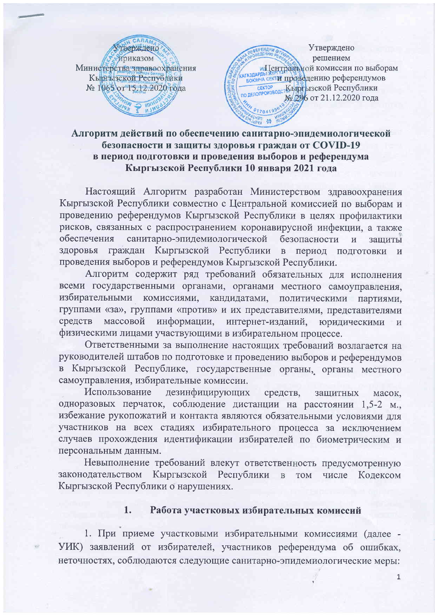

Утверждено решением **м Центральной комиссии по выборам** кагаздарды жители протведению референдумов **СЕКТОР СЕКТОР КЪФЕ БІЗСКОЙ Республики** № 296 от 21.12.2020 года 017041996

### Алгоритм действий по обеспечению санитарно-эпидемиологической безопасности и защиты здоровья граждан от COVID-19 в период подготовки и проведения выборов и референдума Кыргызской Республики 10 января 2021 года

Настоящий Алгоритм разработан Министерством здравоохранения Кыргызской Республики совместно с Центральной комиссией по выборам и проведению референдумов Кыргызской Республики в целях профилактики рисков, связанных с распространением коронавирусной инфекции, а также обеспечения санитарно-эпидемиологической безопасности  $\overline{M}$ зашиты здоровья граждан Кыргызской Республики  $\mathbf{B}$ период подготовки  $\mathbf{H}$ проведения выборов и референдумов Кыргызской Республики.

Алгоритм содержит ряд требований обязательных для исполнения всеми государственными органами, органами местного самоуправления, комиссиями, кандидатами, избирательными политическими партиями, группами «за», группами «против» и их представителями, представителями массовой информации, интернет-изданий, средств юридическими  $\overline{M}$ физическими лицами участвующими в избирательном процессе.

Ответственными за выполнение настоящих требований возлагается на руководителей штабов по подготовке и проведению выборов и референдумов в Кыргызской Республике, государственные органы, органы местного самоуправления, избирательные комиссии.

Использование дезинфицирующих средств, защитных масок, одноразовых перчаток, соблюдение дистанции на расстоянии 1,5-2 м., избежание рукопожатий и контакта являются обязательными условиями для участников на всех стадиях избирательного процесса за исключением случаев прохождения идентификации избирателей по биометрическим и персональным данным.

Невыполнение требований влекут ответственность предусмотренную законодательством Кыргызской Республики  $\, {\bf B}$ TOM числе Кодексом Кыргызской Республики о нарушениях.

#### 1. Работа участковых избирательных комиссий

1. При приеме участковыми избирательными комиссиями (далее -УИК) заявлений от избирателей, участников референдума об ошибках, неточностях, соблюдаются следующие санитарно-эпидемиологические меры:

 $\overline{1}$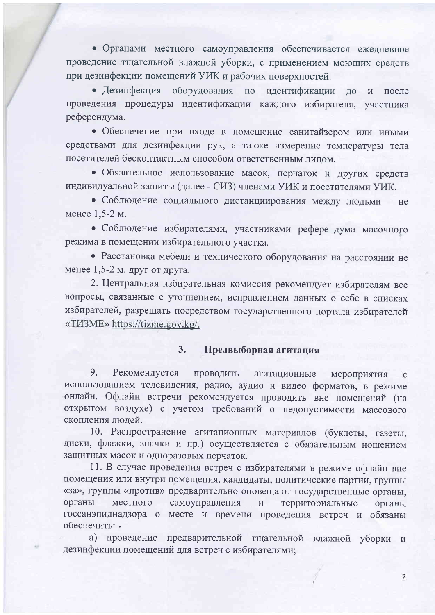• Органами местного самоуправления обеспечивается ежедневное проведение тщательной влажной уборки, с применением моющих средств при дезинфекции помещений УИК и рабочих поверхностей.

• Дезинфекция оборудования по идентификации до и после проведения процедуры идентификации каждого избирателя, участника референдума.

• Обеспечение при входе в помещение санитайзером или иными средствами для дезинфекции рук, а также измерение температуры тела посетителей бесконтактным способом ответственным лицом.

• Обязательное использование масок, перчаток и других средств индивидуальной защиты (далее - СИЗ) членами УИК и посетителями УИК.

• Соблюдение социального дистанциирования между людьми - не менее 1,5-2 м.

• Соблюдение избирателями, участниками референдума масочного режима в помещении избирательного участка.

• Расстановка мебели и технического оборудования на расстоянии не менее  $1,5-2$  м. друг от друга.

2. Центральная избирательная комиссия рекомендует избирателям все вопросы, связанные с уточнением, исправлением данных о себе в списках избирателей, разрешать посредством государственного портала избирателей «TIAME» https://tizme.gov.kg/.

#### $3.$ Предвыборная агитация

9. Рекомендуется проводить агитационные мероприятия использованием телевидения, радио, аудио и видео форматов, в режиме онлайн. Офлайн встречи рекомендуется проводить вне помещений (на открытом воздухе) с учетом требований о недопустимости массового скопления людей.

10. Распространение агитационных материалов (буклеты, газеты, диски, флажки, значки и пр.) осуществляется с обязательным ношением защитных масок и одноразовых перчаток.

11. В случае проведения встреч с избирателями в режиме офлайн вне помещения или внутри помещения, кандидаты, политические партии, группы «за», группы «против» предварительно оповещают государственные органы, органы местного самоуправления территориальные органы госсанэпиднадзора о месте и времени проведения встреч и обязаны обеспечить: .

а) проведение предварительной тщательной влажной уборки и дезинфекции помещений для встреч с избирателями;

 $\overline{2}$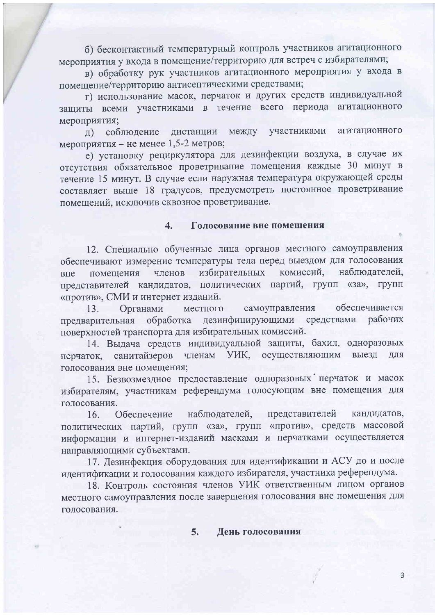б) бесконтактный температурный контроль участников агитационного мероприятия у входа в помещение/территорию для встреч с избирателями;

в) обработку рук участников агитационного мероприятия у входа в помещение/территорию антисептическими средствами;

г) использование масок, перчаток и других средств индивидуальной защиты всеми участниками в течение всего периода агитационного мероприятия;

агитационного л) соблюдение дистанции между участниками мероприятия – не менее 1,5-2 метров;

е) установку рециркулятора для дезинфекции воздуха, в случае их отсутствия обязательное проветривание помещения каждые 30 минут в течение 15 минут. В случае если наружная температура окружающей среды составляет выше 18 градусов, предусмотреть постоянное проветривание помещений, исключив сквозное проветривание.

#### Голосование вне помещения  $\overline{4}$ .

12. Специально обученные лица органов местного самоуправления обеспечивают измерение температуры тела перед выездом для голосования избирательных комиссий, наблюдателей, членов помещения вне представителей кандидатов, политических партий, групп «за», групп «против», СМИ и интернет изданий.

обеспечивается самоуправления Органами местного  $13.$ дезинфицирующими средствами рабочих обработка предварительная поверхностей транспорта для избирательных комиссий.

14. Выдача средств индивидуальной защиты, бахил, одноразовых выезд членам УИК, осуществляющим ДЛЯ перчаток, санитайзеров голосования вне помещения;

15. Безвозмездное предоставление одноразовых перчаток и масок избирателям, участникам референдума голосующим вне помещения для голосования.

Обеспечение наблюдателей, представителей кандидатов,  $16.$ политических партий, групп «за», групп «против», средств массовой информации и интернет-изданий масками и перчатками осуществляется направляющими субъектами.

17. Дезинфекция оборудования для идентификации и АСУ до и после идентификации и голосования каждого избирателя, участника референдума.

18. Контроль состояния членов УИК ответственным лицом органов местного самоуправления после завершения голосования вне помещения для голосования.

> $5.$ День голосования

> > $\overline{3}$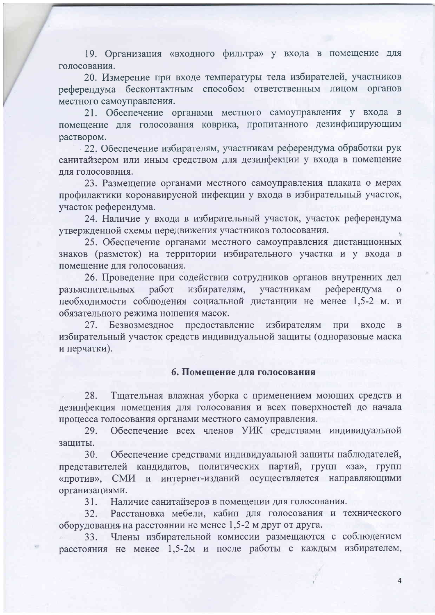19. Организация «входного фильтра» у входа в помещение для голосования.

20. Измерение при входе температуры тела избирателей, участников референдума бесконтактным способом ответственным лицом органов местного самоуправления.

21. Обеспечение органами местного самоуправления у входа в помещение для голосования коврика, пропитанного дезинфицирующим раствором.

22. Обеспечение избирателям, участникам референдума обработки рук санитайзером или иным средством для дезинфекции у входа в помещение для голосования.

23. Размещение органами местного самоуправления плаката о мерах профилактики коронавирусной инфекции у входа в избирательный участок, участок референдума.

24. Наличие у входа в избирательный участок, участок референдума утвержденной схемы передвижения участников голосования.

25. Обеспечение органами местного самоуправления дистанционных знаков (разметок) на территории избирательного участка и у входа в помещение для голосования.

26. Проведение при содействии сотрудников органов внутренних дел разъяснительных работ избирателям, участникам референдума необходимости соблюдения социальной дистанции не менее 1,5-2 м. и обязательного режима ношения масок.

27. Безвозмездное предоставление избирателям при входе  $\overline{B}$ избирательный участок средств индивидуальной защиты (одноразовые маска и перчатки).

### 6. Помещение для голосования

28. Тщательная влажная уборка с применением моющих средств и дезинфекция помещения для голосования и всех поверхностей до начала процесса голосования органами местного самоуправления.

Обеспечение всех членов УИК средствами индивидуальной 29. защиты.

Обеспечение средствами индивидуальной зашиты наблюдателей, 30. представителей кандидатов, политических партий, групп «за», групп «против», СМИ и интернет-изданий осуществляется направляющими организациями.

Наличие санитайзеров в помещении для голосования. 31.

Расстановка мебели, кабин для голосования и технического 32. оборудования на расстоянии не менее 1,5-2 м друг от друга.

Члены избирательной комиссии размещаются с соблюдением 33. расстояния не менее 1,5-2м и после работы с каждым избирателем,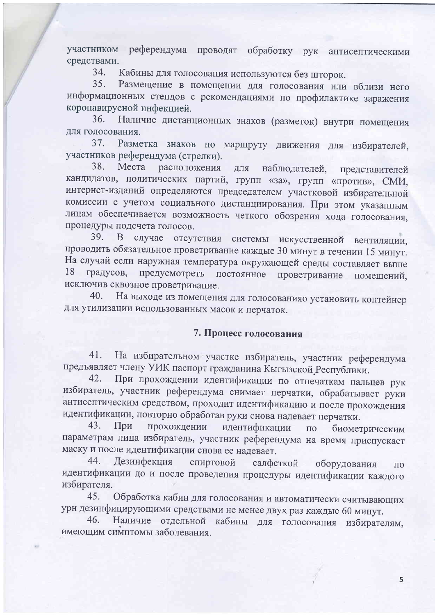участником референдума проводят обработку рук антисептическими средствами.

Кабины для голосования используются без шторок. 34.

35. Размещение в помещении для голосования или вблизи него информационных стендов с рекомендациями по профилактике заражения коронавирусной инфекцией.

Наличие дистанционных знаков (разметок) внутри помещения  $36.$ для голосования.

37. Разметка знаков по маршруту движения для избирателей, участников референдума (стрелки).

38. Места расположения ДЛЯ наблюдателей, представителей кандидатов, политических партий, групп «за», групп «против», СМИ, интернет-изданий определяются председателем участковой избирательной комиссии с учетом социального дистанциирования. При этом указанным лицам обеспечивается возможность четкого обозрения хода голосования, процедуры подсчета голосов.

случае отсутствия системы искусственной вентиляции, 39. B проводить обязательное проветривание каждые 30 минут в течении 15 минут. На случай если наружная температура окружающей среды составляет выше 18 предусмотреть постоянное градусов, проветривание помещений. исключив сквозное проветривание.

На выходе из помещения для голосованияо установить контейнер 40. для утилизации использованных масок и перчаток.

## 7. Процесс голосования

На избирательном участке избиратель, участник референдума 41. предъявляет члену УИК паспорт гражданина Кыгызской Республики.

При прохождении идентификации по отпечаткам пальцев рук 42. избиратель, участник референдума снимает перчатки, обрабатывает руки антисептическим средством, проходит идентификацию и после прохождения идентификации, повторно обработав руки снова надевает перчатки.

43. прохождении При идентификации  $\overline{10}$ биометрическим параметрам лица избиратель, участник референдума на время приспускает маску и после идентификации снова ее надевает.

44. Дезинфекция спиртовой салфеткой оборудования  $\Pi{\bf O}$ идентификации до и после проведения процедуры идентификации каждого избирателя.

Обработка кабин для голосования и автоматически считывающих 45. урн дезинфицирующими средствами не менее двух раз каждые 60 минут.

Наличие отдельной кабины для голосования избирателям, 46. имеющим симптомы заболевания.